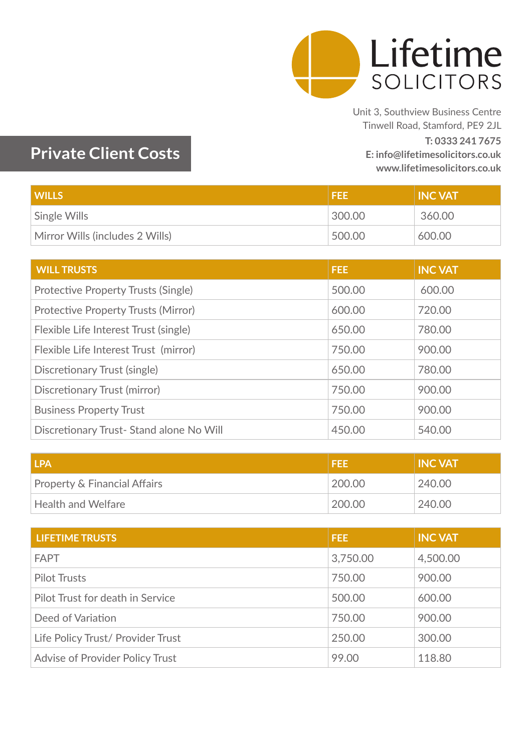

Unit 3, Southview Business Centre Tinwell Road, Stamford, PE9 2JL **T: 0333 241 7675 E: info@lifetimesolicitors.co.uk www.lifetimesolicitors.co.uk**

## **Private Client Costs**

| <b>WILLS</b>                    | <b>FEE</b> | <b>INC VAT</b> |
|---------------------------------|------------|----------------|
| Single Wills                    | 300.00     | 360.00         |
| Mirror Wills (includes 2 Wills) | 500.00     | 600.00         |

| <b>WILL TRUSTS</b>                         | FEE:   | <b>INC VAT</b> |
|--------------------------------------------|--------|----------------|
| Protective Property Trusts (Single)        | 500.00 | 600.00         |
| <b>Protective Property Trusts (Mirror)</b> | 600.00 | 720.00         |
| Flexible Life Interest Trust (single)      | 650.00 | 780.00         |
| Flexible Life Interest Trust (mirror)      | 750.00 | 900.00         |
| Discretionary Trust (single)               | 650.00 | 780.00         |
| Discretionary Trust (mirror)               | 750.00 | 900.00         |
| <b>Business Property Trust</b>             | 750.00 | 900.00         |
| Discretionary Trust- Stand alone No Will   | 450.00 | 540.00         |

| <b>LPA</b>                   | I FEE  | <b>INC VAT</b> |
|------------------------------|--------|----------------|
| Property & Financial Affairs | 200.00 | 240.00         |
| $\mid$ Health and Welfare    | 200.00 | 240.00         |

| <b>LIFETIME TRUSTS</b>            | <b>FEE</b> | <b>INC VAT</b> |
|-----------------------------------|------------|----------------|
| <b>FAPT</b>                       | 3,750.00   | 4,500.00       |
| <b>Pilot Trusts</b>               | 750.00     | 900.00         |
| Pilot Trust for death in Service  | 500.00     | 600.00         |
| Deed of Variation                 | 750.00     | 900.00         |
| Life Policy Trust/ Provider Trust | 250.00     | 300.00         |
| Advise of Provider Policy Trust   | 99.00      | 118.80         |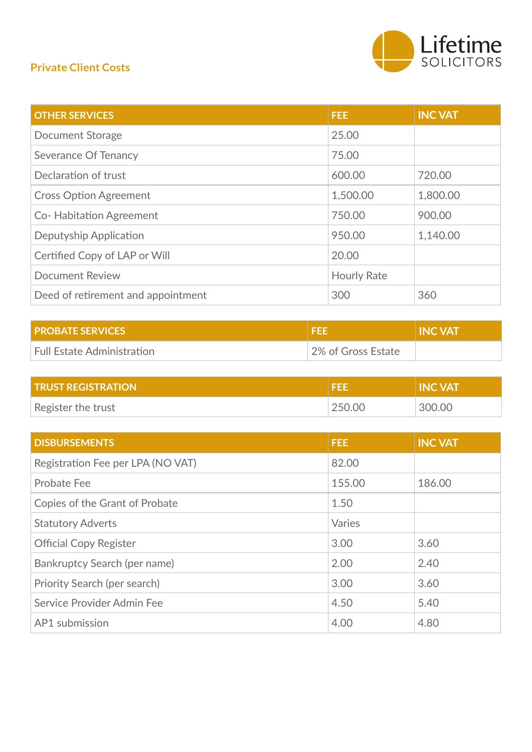## **Private Client Costs**



| <b>OTHER SERVICES</b>              | FEE.               | <b>INC VAT</b> |
|------------------------------------|--------------------|----------------|
| Document Storage                   | 25.00              |                |
| <b>Severance Of Tenancy</b>        | 75.00              |                |
| Declaration of trust               | 600.00             | 720.00         |
| <b>Cross Option Agreement</b>      | 1,500.00           | 1,800.00       |
| <b>Co-Habitation Agreement</b>     | 750.00             | 900.00         |
| Deputyship Application             | 950.00             | 1,140.00       |
| Certified Copy of LAP or Will      | 20.00              |                |
| <b>Document Review</b>             | <b>Hourly Rate</b> |                |
| Deed of retirement and appointment | 300                | 360            |

| <b>PROBATE SERVICES</b>    |                    | <b>INC VAT</b> |
|----------------------------|--------------------|----------------|
| Full Estate Administration | 2% of Gross Estate |                |

| <b>TRUST REGISTRATION</b> | ÆВ     | 'I INC VAT |
|---------------------------|--------|------------|
| Register the trust        | 250.00 | 300.00     |

| <b>DISBURSEMENTS</b>              | FEE:   | <b>INC VAT</b> |
|-----------------------------------|--------|----------------|
| Registration Fee per LPA (NO VAT) | 82.00  |                |
| <b>Probate Fee</b>                | 155.00 | 186.00         |
| Copies of the Grant of Probate    | 1.50   |                |
| <b>Statutory Adverts</b>          | Varies |                |
| <b>Official Copy Register</b>     | 3.00   | 3.60           |
| Bankruptcy Search (per name)      | 2.00   | 2.40           |
| Priority Search (per search)      | 3.00   | 3.60           |
| Service Provider Admin Fee        | 4.50   | 5.40           |
| AP1 submission                    | 4.00   | 4.80           |